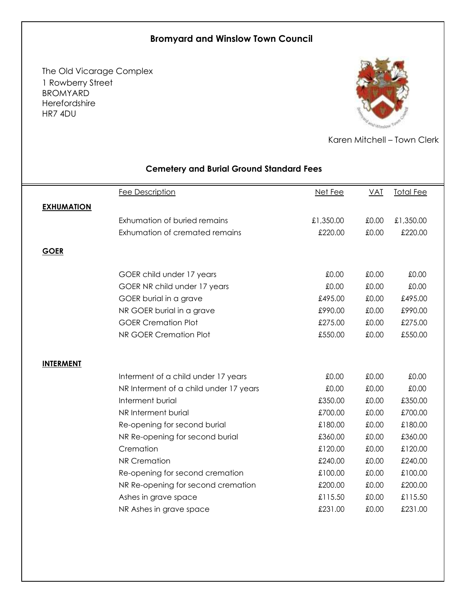## **Bromyard and Winslow Town Council**

The Old Vicarage Complex 1 Rowberry Street BROMYARD Herefordshire HR7 4DU



Karen Mitchell – Town Clerk

|                   | Fee Description                        | Net Fee   | <b>VAT</b> | <b>Total Fee</b> |
|-------------------|----------------------------------------|-----------|------------|------------------|
| <b>EXHUMATION</b> |                                        |           |            |                  |
|                   | Exhumation of buried remains           | £1,350.00 | £0.00      | £1,350.00        |
|                   | Exhumation of cremated remains         | £220.00   | £0.00      | £220.00          |
| <b>GOER</b>       |                                        |           |            |                  |
|                   |                                        |           |            |                  |
|                   | GOER child under 17 years              | £0.00     | £0.00      | £0.00            |
|                   | GOER NR child under 17 years           | £0.00     | £0.00      | £0.00            |
|                   | GOER burial in a grave                 | £495.00   | £0.00      | £495.00          |
|                   | NR GOER burial in a grave              | £990.00   | £0.00      | £990.00          |
|                   | <b>GOER Cremation Plot</b>             | £275.00   | £0.00      | £275.00          |
|                   | NR GOER Cremation Plot                 | £550.00   | £0.00      | £550.00          |
|                   |                                        |           |            |                  |
| <b>INTERMENT</b>  |                                        |           |            |                  |
|                   | Interment of a child under 17 years    | £0.00     | £0.00      | £0.00            |
|                   | NR Interment of a child under 17 years | £0.00     | £0.00      | £0.00            |
|                   | Interment burial                       | £350.00   | £0.00      | £350.00          |
|                   | NR Interment burial                    | £700.00   | £0.00      | £700.00          |
|                   | Re-opening for second burial           | £180.00   | £0.00      | £180.00          |
|                   | NR Re-opening for second burial        | £360.00   | £0.00      | £360.00          |
|                   | Cremation                              | £120.00   | £0.00      | £120.00          |
|                   | <b>NR Cremation</b>                    | £240.00   | £0.00      | £240.00          |
|                   | Re-opening for second cremation        | £100.00   | £0.00      | £100.00          |
|                   | NR Re-opening for second cremation     | £200.00   | £0.00      | £200.00          |
|                   | Ashes in grave space                   | £115.50   | £0.00      | £115.50          |
|                   | NR Ashes in grave space                | £231.00   | £0.00      | £231.00          |
|                   |                                        |           |            |                  |

## **Cemetery and Burial Ground Standard Fees**